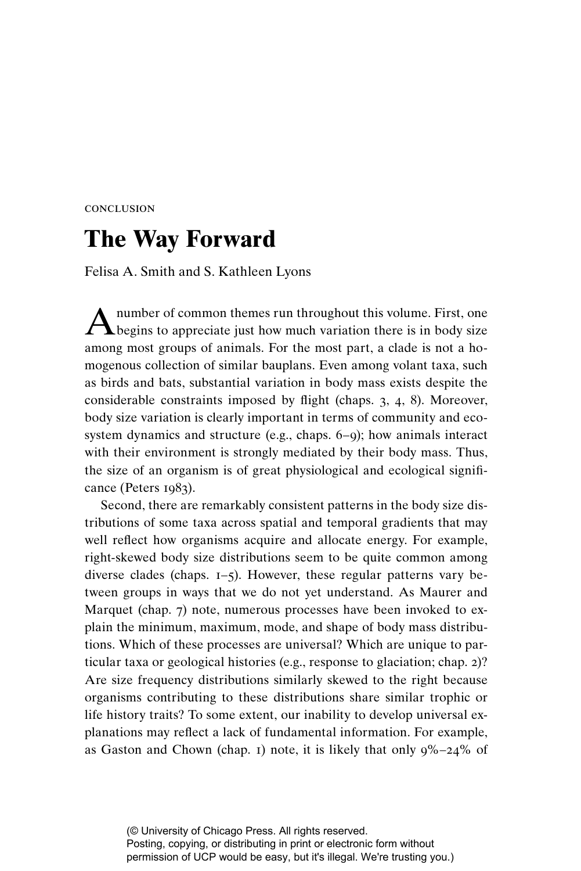## conclusion

## **The Way Forward**

Felisa A. Smith and S. Kathleen Lyons

A number of common themes run throughout this volume. First, one begins to appreciate just how much variation there is in body size among most groups of animals. For the most part, a clade is not a homogenous collection of similar bauplans. Even among volant taxa, such as birds and bats, substantial variation in body mass exists despite the considerable constraints imposed by flight (chaps.  $3, 4, 8$ ). Moreover, body size variation is clearly important in terms of community and ecosystem dynamics and structure (e.g., chaps. 6–9); how animals interact with their environment is strongly mediated by their body mass. Thus, the size of an organism is of great physiological and ecological significance (Peters 1983).

Second, there are remarkably consistent patterns in the body size distributions of some taxa across spatial and temporal gradients that may well reflect how organisms acquire and allocate energy. For example, right-skewed body size distributions seem to be quite common among diverse clades (chaps. 1–5). However, these regular patterns vary between groups in ways that we do not yet understand. As Maurer and Marquet (chap. 7) note, numerous processes have been invoked to explain the minimum, maximum, mode, and shape of body mass distributions. Which of these processes are universal? Which are unique to particular taxa or geological histories (e.g., response to glaciation; chap. 2)? Are size frequency distributions similarly skewed to the right because organisms contributing to these distributions share similar trophic or life history traits? To some extent, our inability to develop universal explanations may reflect a lack of fundamental information. For example, as Gaston and Chown (chap. 1) note, it is likely that only  $9\% - 24\%$  of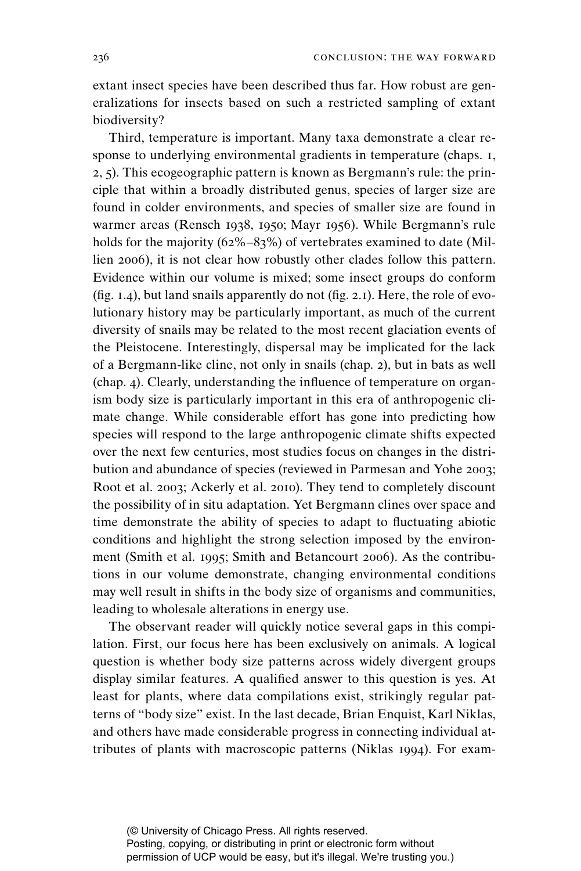extant insect species have been described thus far. How robust are generalizations for insects based on such a restricted sampling of extant biodiversity?

Third, temperature is important. Many taxa demonstrate a clear response to underlying environmental gradients in temperature (chaps. 1, 2, 5). This ecogeographic pattern is known as Bergmann's rule: the principle that within a broadly distributed genus, species of larger size are found in colder environments, and species of smaller size are found in warmer areas (Rensch 1938, 1950; Mayr 1956). While Bergmann's rule holds for the majority (62%–83%) of vertebrates examined to date (Millien 2006), it is not clear how robustly other clades follow this pattern. Evidence within our volume is mixed; some insect groups do conform (fig. 1.4), but land snails apparently do not (fig. 2.1). Here, the role of evolutionary history may be particularly important, as much of the current diversity of snails may be related to the most recent glaciation events of the Pleistocene. Interestingly, dispersal may be implicated for the lack of a Bergmann-like cline, not only in snails (chap. 2), but in bats as well (chap. 4). Clearly, understanding the influence of temperature on organism body size is particularly important in this era of anthropogenic climate change. While considerable effort has gone into predicting how species will respond to the large anthropogenic climate shifts expected over the next few centuries, most studies focus on changes in the distribution and abundance of species (reviewed in Parmesan and Yohe 2003; Root et al. 2003; Ackerly et al. 2010). They tend to completely discount the possibility of in situ adaptation. Yet Bergmann clines over space and time demonstrate the ability of species to adapt to fluctuating abiotic conditions and highlight the strong selection imposed by the environment (Smith et al. 1995; Smith and Betancourt 2006). As the contributions in our volume demonstrate, changing environmental conditions may well result in shifts in the body size of organisms and communities, leading to wholesale alterations in energy use.

The observant reader will quickly notice several gaps in this compilation. First, our focus here has been exclusively on animals. A logical question is whether body size patterns across widely divergent groups display similar features. A qualified answer to this question is yes. At least for plants, where data compilations exist, strikingly regular patterns of "body size" exist. In the last decade, Brian Enquist, Karl Niklas, and others have made considerable progress in connecting individual attributes of plants with macroscopic patterns (Niklas 1994). For exam-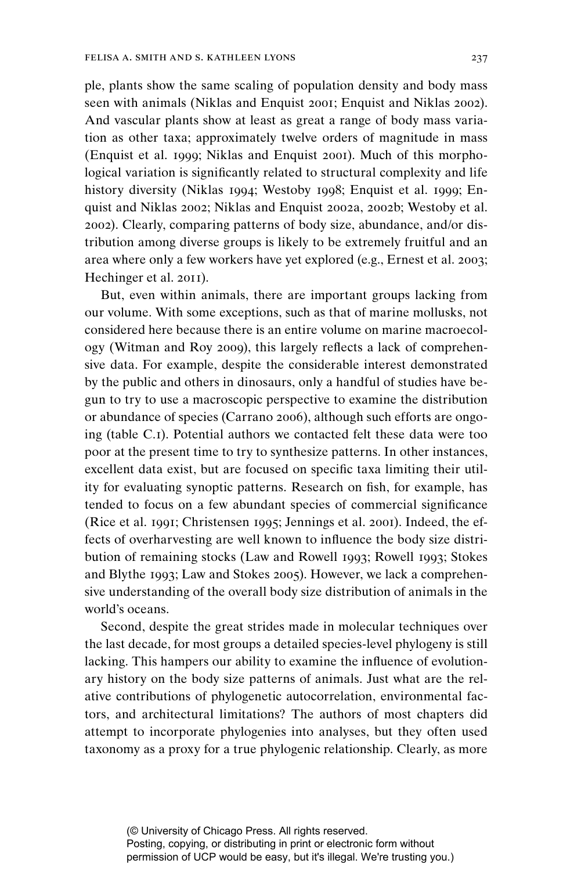ple, plants show the same scaling of population density and body mass seen with animals (Niklas and Enquist 2001; Enquist and Niklas 2002). And vascular plants show at least as great a range of body mass variation as other taxa; approximately twelve orders of magnitude in mass (Enquist et al. 1999; Niklas and Enquist 2001). Much of this morphological variation is significantly related to structural complexity and life history diversity (Niklas 1994; Westoby 1998; Enquist et al. 1999; Enquist and Niklas 2002; Niklas and Enquist 2002a, 2002b; Westoby et al. 2002). Clearly, comparing patterns of body size, abundance, and/or distribution among diverse groups is likely to be extremely fruitful and an area where only a few workers have yet explored (e.g., Ernest et al. 2003; Hechinger et al. 2011).

But, even within animals, there are important groups lacking from our volume. With some exceptions, such as that of marine mollusks, not considered here because there is an entire volume on marine macroecology (Witman and Roy 2009), this largely reflects a lack of comprehensive data. For example, despite the considerable interest demonstrated by the public and others in dinosaurs, only a handful of studies have begun to try to use a macroscopic perspective to examine the distribution or abundance of species (Carrano 2006), although such efforts are ongoing (table C.1). Potential authors we contacted felt these data were too poor at the present time to try to synthesize patterns. In other instances, excellent data exist, but are focused on specific taxa limiting their utility for evaluating synoptic patterns. Research on fish, for example, has tended to focus on a few abundant species of commercial significance (Rice et al. 1991; Christensen 1995; Jennings et al. 2001). Indeed, the effects of overharvesting are well known to influence the body size distribution of remaining stocks (Law and Rowell 1993; Rowell 1993; Stokes and Blythe 1993; Law and Stokes 2005). However, we lack a comprehensive understanding of the overall body size distribution of animals in the world's oceans.

Second, despite the great strides made in molecular techniques over the last decade, for most groups a detailed species-level phylogeny is still lacking. This hampers our ability to examine the influence of evolutionary history on the body size patterns of animals. Just what are the relative contributions of phylogenetic autocorrelation, environmental factors, and architectural limitations? The authors of most chapters did attempt to incorporate phylogenies into analyses, but they often used taxonomy as a proxy for a true phylogenic relationship. Clearly, as more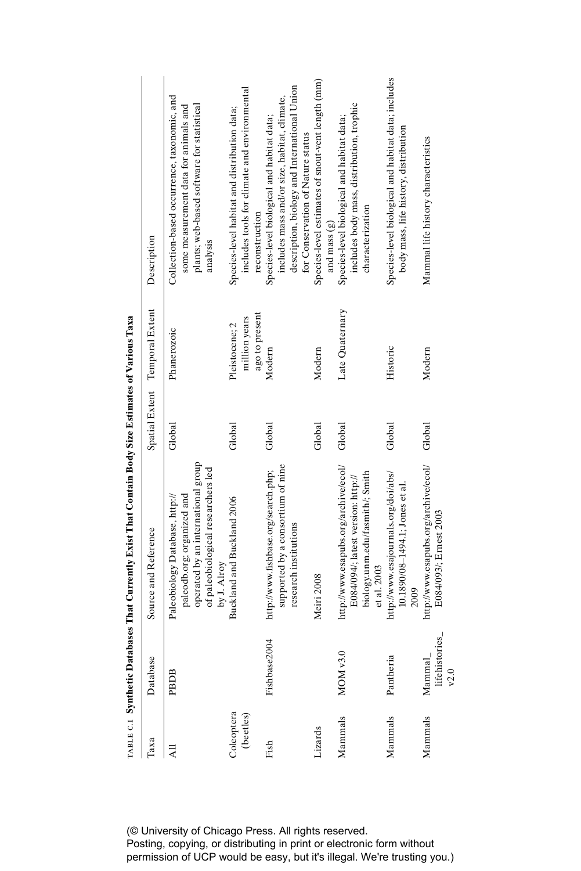|                         |                                  | $\{a_1, a_2, \ldots, a_{m-1}, a_{m-1}, a_{m-1}, a_{m-1}, \ldots, a_{m-1}, a_{m-1}, a_{m-1}, a_{m-1}, a_{m-1}, a_{m-1}, a_{m-1}, a_{m-1}, a_{m-1}, a_{m-1}, a_{m-1}, a_{m-1}, a_{m-1}, a_{m-1}, a_{m-1}, a_{m-1}, a_{m-1}, a_{m-1}, a_{m-1}, a_{m-1}, a_{m-1}, a_{m-1}, a_{m-1}, a_{m-1}, a_{m-1}, a_{m-1}, a_{m-1}, a_{m-1}, a_{m-1}, a_{m-$ |        |                                                   |                                                                                                                                                                                 |
|-------------------------|----------------------------------|----------------------------------------------------------------------------------------------------------------------------------------------------------------------------------------------------------------------------------------------------------------------------------------------------------------------------------------------|--------|---------------------------------------------------|---------------------------------------------------------------------------------------------------------------------------------------------------------------------------------|
| Таха                    | Database                         | Source and Reference                                                                                                                                                                                                                                                                                                                         |        | Spatial Extent Temporal Extent                    | Description                                                                                                                                                                     |
| $\overline{A}$          | PBDB                             | operated by an international group<br>of paleobiological researchers led<br>paleodb.org; organized and<br>Paleobiology Database, http://<br>by J. Alroy                                                                                                                                                                                      | Global | Phanerozoic                                       | Collection-based occurrence, taxonomic, and<br>plants; web-based software for statistical<br>some measurement data for animals and<br>analysis                                  |
| Coleoptera<br>(beetles) |                                  | Buckland and Buckland 2006                                                                                                                                                                                                                                                                                                                   | Global | ago to present<br>million years<br>Pleistocene; 2 | includes tools for climate and environmental<br>Species-level habitat and distribution data;<br>reconstruction                                                                  |
| Fish                    | Fishbase2004                     | supported by a consortium of nine<br>http://www.fishbase.org/search.php;<br>research institutions                                                                                                                                                                                                                                            | Global | Modern                                            | description, biology and International Union<br>includes mass and/or size, habitat, climate,<br>Species-level biological and habitat data;<br>for Conservation of Nature status |
| Lizards                 |                                  | Meiri 2008                                                                                                                                                                                                                                                                                                                                   | Global | Modern                                            | Species-level estimates of snout-vent length (mm)<br>and mass (g)                                                                                                               |
| Mammals                 | MOM v3.0                         | http://www.esapubs.org/archive/ecol/<br>biology.unm.edu/fasmith/; Smith<br>E084/094/; latest version: http://<br>et al. 2003                                                                                                                                                                                                                 | Global | Late Quaternary                                   | includes body mass, distribution, trophic<br>Species-level biological and habitat data;<br>characterization                                                                     |
| Mammals                 | Pantheria                        | http://www.esajournals.org/doi/abs/<br>10.1890/08-1494.1; Jones et al.<br>2009                                                                                                                                                                                                                                                               | Global | Historic                                          | Species-level biological and habitat data; includes<br>body mass, life history, distribution                                                                                    |
| Mammals                 | lifehistories_<br>Mammal<br>v2.0 | http://www.esapubs.org/archive/ecol/<br>E084/093/; Ernest 2003                                                                                                                                                                                                                                                                               | Global | Modern                                            | Mammal life history characteristics                                                                                                                                             |

 $\tau_{AB}$   $\tau \in S$  with efter Databases That Currently Exist That Contain Body Size Estimates of Various Taxa table C.1 **Synthetic Databases That Currently Exist That Contain Body Size Estimates of Various Taxa**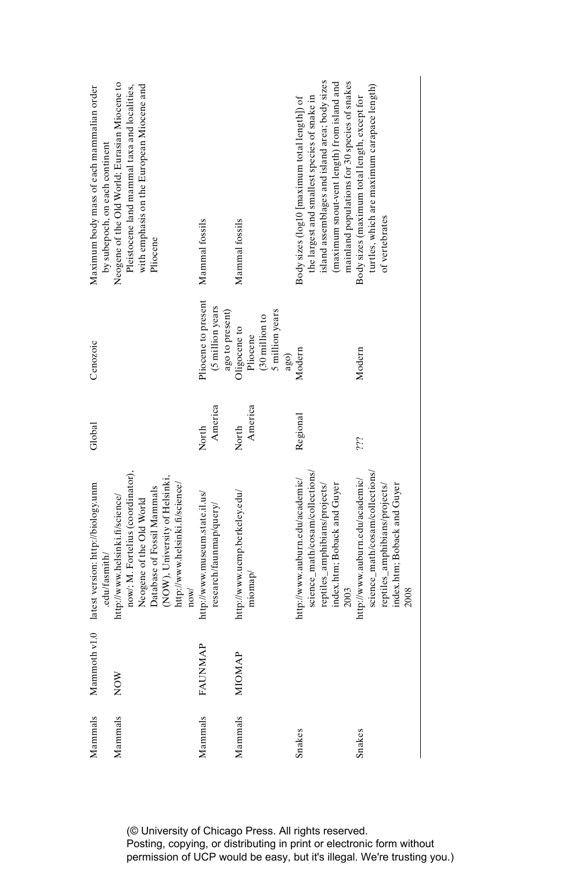| Mammals       | Mammoth v1.0<br><b>FAUNMAP</b><br>NOW | now/; M. Fortelius (coordinator),<br>(NOW), University of Helsinki,<br>latest version: http://biology.unm<br>http://www.helsinki.fi/science/<br>Database of Fossil Mammals<br>http://www.museum.state.il.us/<br>http://www.helsinki.fi/science/<br>Neogene of the Old World<br>research/faunmap/query/<br>.edu/fasmith/<br>nov/ | America<br>Global<br>North | Pliocene to present<br>(5 million years<br>Cenozoic                                                | Neogene of the Old World; Eurasian Miocene to<br>with emphasis on the European Miocene and<br>Pleistocene land mammal taxa and localities,<br>Maximum body mass of each mammalian order<br>by subepoch, on each continent<br>Mammal fossils<br>Pliocene |
|---------------|---------------------------------------|---------------------------------------------------------------------------------------------------------------------------------------------------------------------------------------------------------------------------------------------------------------------------------------------------------------------------------|----------------------------|----------------------------------------------------------------------------------------------------|---------------------------------------------------------------------------------------------------------------------------------------------------------------------------------------------------------------------------------------------------------|
| <b>MIOMAP</b> |                                       | http://www.ucmp.berkeley.edu/<br>miomap                                                                                                                                                                                                                                                                                         | America<br>North           | ago to present)<br>5 million years<br>$(30 \text{ million to}$<br>Oligocene to<br>Pliocene<br>ago) | Mammal fossils                                                                                                                                                                                                                                          |
|               |                                       | science_math/cosam/collections/<br>http://www.auburn.edu/academic/<br>index.htm; Boback and Guyer<br>reptiles_amphibians/projects/<br>2003                                                                                                                                                                                      | Regional                   | Modern                                                                                             | island assemblages and island area; body sizes<br>(maximum snout-vent length) from island and<br>mainland populations for 30 species of snakes<br>the largest and smallest species of snake in<br>Body sizes (log10 [maximum total length]) of          |
|               |                                       | science_math/cosam/collections/<br>http://www.auburn.edu/academic/<br>reptiles_amphibians/projects/<br>index.htm; Boback and Guyer<br>2008                                                                                                                                                                                      | iii                        | Modern                                                                                             | turtles, which are maximum carapace length)<br>Body sizes (maximum total length, except for<br>of vertebrates                                                                                                                                           |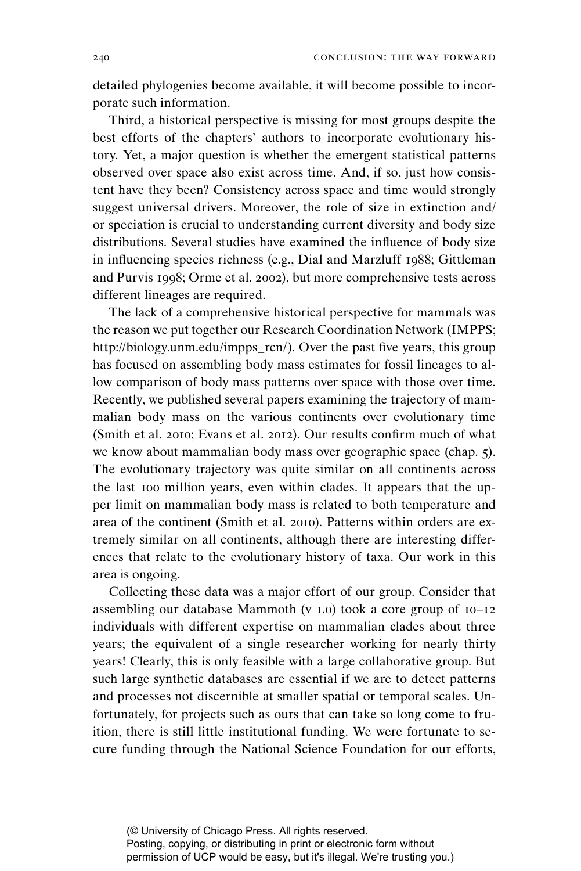detailed phylogenies become available, it will become possible to incorporate such information.

Third, a historical perspective is missing for most groups despite the best efforts of the chapters' authors to incorporate evolutionary history. Yet, a major question is whether the emergent statistical patterns observed over space also exist across time. And, if so, just how consistent have they been? Consistency across space and time would strongly suggest universal drivers. Moreover, the role of size in extinction and/ or speciation is crucial to understanding current diversity and body size distributions. Several studies have examined the influence of body size in influencing species richness (e.g., Dial and Marzluff 1988; Gittleman and Purvis 1998; Orme et al. 2002), but more comprehensive tests across different lineages are required.

The lack of a comprehensive historical perspective for mammals was the reason we put together our Research Coordination Network (IMPPS; http://biology.unm.edu/impps\_rcn/). Over the past five years, this group has focused on assembling body mass estimates for fossil lineages to allow comparison of body mass patterns over space with those over time. Recently, we published several papers examining the trajectory of mammalian body mass on the various continents over evolutionary time (Smith et al. 2010; Evans et al. 2012). Our results confirm much of what we know about mammalian body mass over geographic space (chap. 5). The evolutionary trajectory was quite similar on all continents across the last 100 million years, even within clades. It appears that the upper limit on mammalian body mass is related to both temperature and area of the continent (Smith et al. 2010). Patterns within orders are extremely similar on all continents, although there are interesting differences that relate to the evolutionary history of taxa. Our work in this area is ongoing.

Collecting these data was a major effort of our group. Consider that assembling our database Mammoth (v 1.0) took a core group of 10–12 individuals with different expertise on mammalian clades about three years; the equivalent of a single researcher working for nearly thirty years! Clearly, this is only feasible with a large collaborative group. But such large synthetic databases are essential if we are to detect patterns and processes not discernible at smaller spatial or temporal scales. Unfortunately, for projects such as ours that can take so long come to fruition, there is still little institutional funding. We were fortunate to secure funding through the National Science Foundation for our efforts,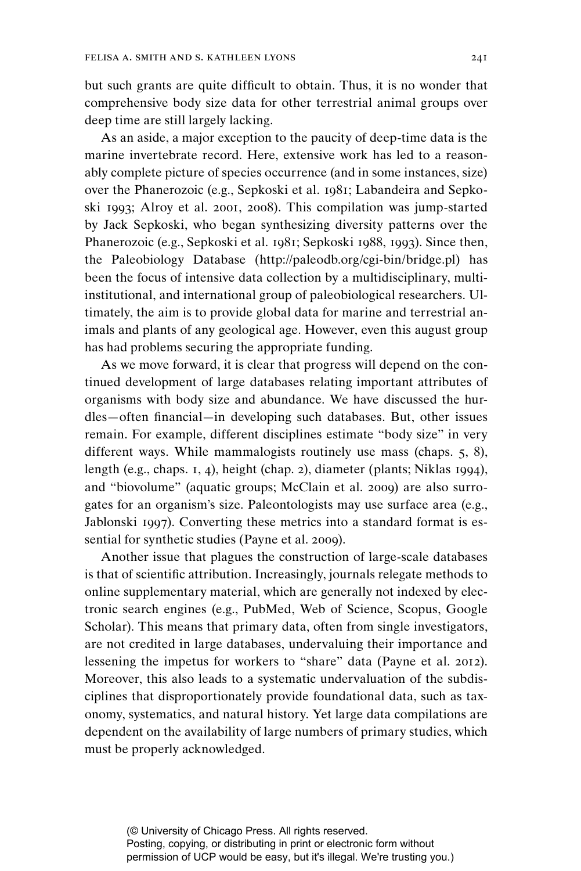but such grants are quite difficult to obtain. Thus, it is no wonder that comprehensive body size data for other terrestrial animal groups over deep time are still largely lacking.

As an aside, a major exception to the paucity of deep-time data is the marine invertebrate record. Here, extensive work has led to a reasonably complete picture of species occurrence (and in some instances, size) over the Phanerozoic (e.g., Sepkoski et al. 1981; Labandeira and Sepkoski 1993; Alroy et al. 2001, 2008). This compilation was jump-started by Jack Sepkoski, who began synthesizing diversity patterns over the Phanerozoic (e.g., Sepkoski et al. 1981; Sepkoski 1988, 1993). Since then, the Paleobiology Database (http://paleodb.org/cgi-bin/bridge.pl) has been the focus of intensive data collection by a multidisciplinary, multiinstitutional, and international group of paleobiological researchers. Ultimately, the aim is to provide global data for marine and terrestrial animals and plants of any geological age. However, even this august group has had problems securing the appropriate funding.

As we move forward, it is clear that progress will depend on the continued development of large databases relating important attributes of organisms with body size and abundance. We have discussed the hurdles—often financial—in developing such databases. But, other issues remain. For example, different disciplines estimate "body size" in very different ways. While mammalogists routinely use mass (chaps. 5, 8), length (e.g., chaps. 1, 4), height (chap. 2), diameter (plants; Niklas 1994), and "biovolume" (aquatic groups; McClain et al. 2009) are also surrogates for an organism's size. Paleontologists may use surface area (e.g., Jablonski 1997). Converting these metrics into a standard format is essential for synthetic studies (Payne et al. 2009).

Another issue that plagues the construction of large-scale databases is that of scientific attribution. Increasingly, journals relegate methods to online supplementary material, which are generally not indexed by electronic search engines (e.g., PubMed, Web of Science, Scopus, Google Scholar). This means that primary data, often from single investigators, are not credited in large databases, undervaluing their importance and lessening the impetus for workers to "share" data (Payne et al. 2012). Moreover, this also leads to a systematic undervaluation of the subdisciplines that disproportionately provide foundational data, such as taxonomy, systematics, and natural history. Yet large data compilations are dependent on the availability of large numbers of primary studies, which must be properly acknowledged.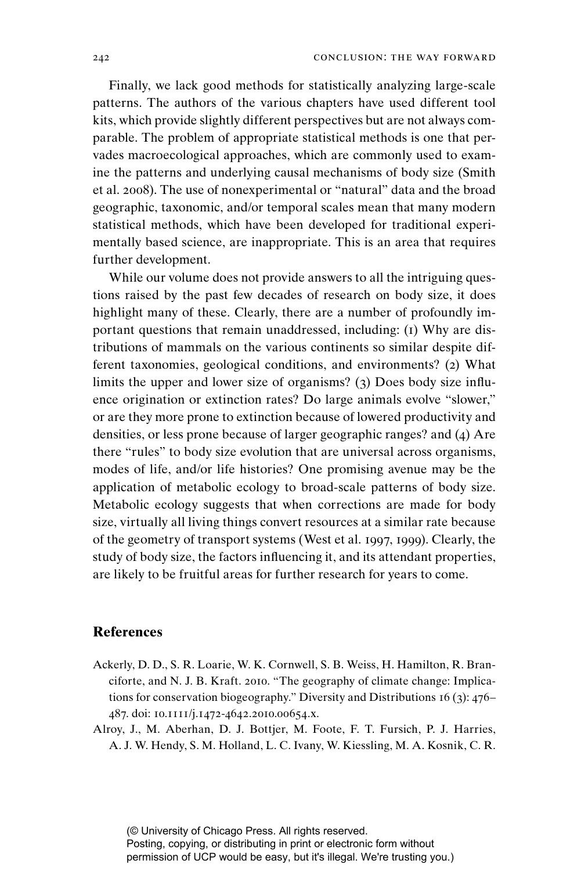Finally, we lack good methods for statistically analyzing large-scale patterns. The authors of the various chapters have used different tool kits, which provide slightly different perspectives but are not always comparable. The problem of appropriate statistical methods is one that pervades macroecological approaches, which are commonly used to examine the patterns and underlying causal mechanisms of body size (Smith et al. 2008). The use of nonexperimental or "natural" data and the broad geographic, taxonomic, and/or temporal scales mean that many modern statistical methods, which have been developed for traditional experimentally based science, are inappropriate. This is an area that requires further development.

While our volume does not provide answers to all the intriguing questions raised by the past few decades of research on body size, it does highlight many of these. Clearly, there are a number of profoundly important questions that remain unaddressed, including: (1) Why are distributions of mammals on the various continents so similar despite different taxonomies, geological conditions, and environments? (2) What limits the upper and lower size of organisms? ( $3$ ) Does body size influence origination or extinction rates? Do large animals evolve "slower," or are they more prone to extinction because of lowered productivity and densities, or less prone because of larger geographic ranges? and (4) Are there "rules" to body size evolution that are universal across organisms, modes of life, and/or life histories? One promising avenue may be the application of metabolic ecology to broad-scale patterns of body size. Metabolic ecology suggests that when corrections are made for body size, virtually all living things convert resources at a similar rate because of the geometry of transport systems (West et al. 1997, 1999). Clearly, the study of body size, the factors influencing it, and its attendant properties, are likely to be fruitful areas for further research for years to come.

## **References**

- Ackerly, D. D., S. R. Loarie, W. K. Cornwell, S. B. Weiss, H. Hamilton, R. Branciforte, and N. J. B. Kraft. 2010. "The geography of climate change: Implications for conservation biogeography." Diversity and Distributions 16 (3): 476– 487. doi: 10.1111/j.1472-4642.2010.00654.x.
- Alroy, J., M. Aberhan, D. J. Bottjer, M. Foote, F. T. Fursich, P. J. Harries, A. J. W. Hendy, S. M. Holland, L. C. Ivany, W. Kiessling, M. A. Kosnik, C. R.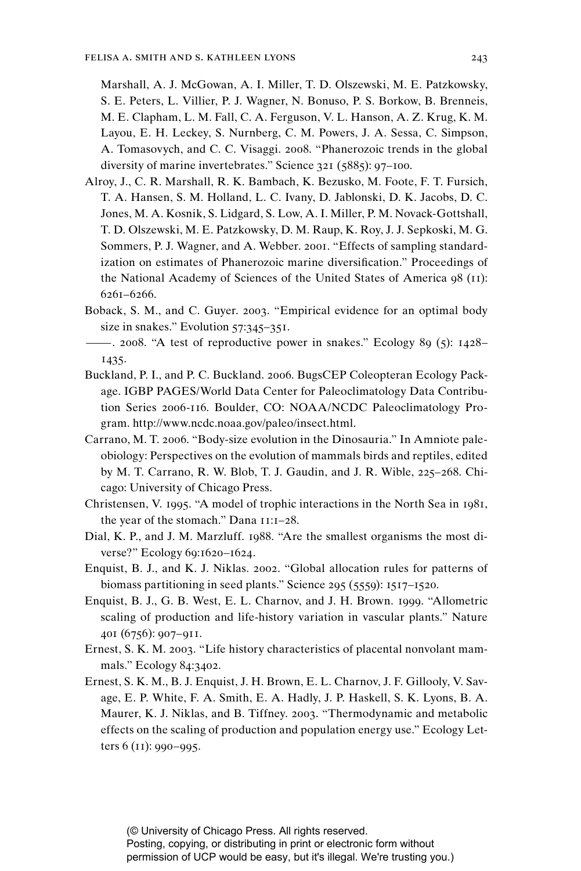Marshall, A. J. McGowan, A. I. Miller, T. D. Olszewski, M. E. Patzkowsky, S. E. Peters, L. Villier, P. J. Wagner, N. Bonuso, P. S. Borkow, B. Brenneis, M. E. Clapham, L. M. Fall, C. A. Ferguson, V. L. Hanson, A. Z. Krug, K. M. Layou, E. H. Leckey, S. Nurnberg, C. M. Powers, J. A. Sessa, C. Simpson, A. Tomasovych, and C. C. Visaggi. 2008. "Phanerozoic trends in the global diversity of marine invertebrates." Science 321 (5885): 97–100.

- Alroy, J., C. R. Marshall, R. K. Bambach, K. Bezusko, M. Foote, F. T. Fursich, T. A. Hansen, S. M. Holland, L. C. Ivany, D. Jablonski, D. K. Jacobs, D. C. Jones, M. A. Kosnik, S. Lidgard, S. Low, A. I. Miller, P. M. Novack-Gottshall, T. D. Olszewski, M. E. Patzkowsky, D. M. Raup, K. Roy, J. J. Sepkoski, M. G. Sommers, P. J. Wagner, and A. Webber. 2001. "Effects of sampling standardization on estimates of Phanerozoic marine diversification." Proceedings of the National Academy of Sciences of the United States of America 98 (11): 6261–6266.
- Boback, S. M., and C. Guyer. 2003. "Empirical evidence for an optimal body size in snakes." Evolution 57:345-351.
- ———. 2008. "A test of reproductive power in snakes." Ecology 89 (5): 1428– 1435.
- Buckland, P. I., and P. C. Buckland. 2006. BugsCEP Coleopteran Ecology Package. IGBP PAGES/World Data Center for Paleoclimatology Data Contribution Series 2006-116. Boulder, CO: NOAA/NCDC Paleoclimatology Program. http://www.ncdc.noaa.gov/paleo/insect.html.
- Carrano, M. T. 2006. "Body-size evolution in the Dinosauria." In Amniote paleobiology: Perspectives on the evolution of mammals birds and reptiles, edited by M. T. Carrano, R. W. Blob, T. J. Gaudin, and J. R. Wible, 225–268. Chicago: University of Chicago Press.
- Christensen, V. 1995. "A model of trophic interactions in the North Sea in 1981, the year of the stomach." Dana 11:1–28.
- Dial, K. P., and J. M. Marzluff. 1988. "Are the smallest organisms the most diverse?" Ecology 69:1620–1624.
- Enquist, B. J., and K. J. Niklas. 2002. "Global allocation rules for patterns of biomass partitioning in seed plants." Science 295 (5559): 1517–1520.
- Enquist, B. J., G. B. West, E. L. Charnov, and J. H. Brown. 1999. "Allometric scaling of production and life-history variation in vascular plants." Nature 401 (6756): 907–911.
- Ernest, S. K. M. 2003. "Life history characteristics of placental nonvolant mammals." Ecology 84:3402.
- Ernest, S. K. M., B. J. Enquist, J. H. Brown, E. L. Charnov, J. F. Gillooly, V. Savage, E. P. White, F. A. Smith, E. A. Hadly, J. P. Haskell, S. K. Lyons, B. A. Maurer, K. J. Niklas, and B. Tiffney. 2003. "Thermodynamic and metabolic effects on the scaling of production and population energy use." Ecology Letters 6 (11): 990–995.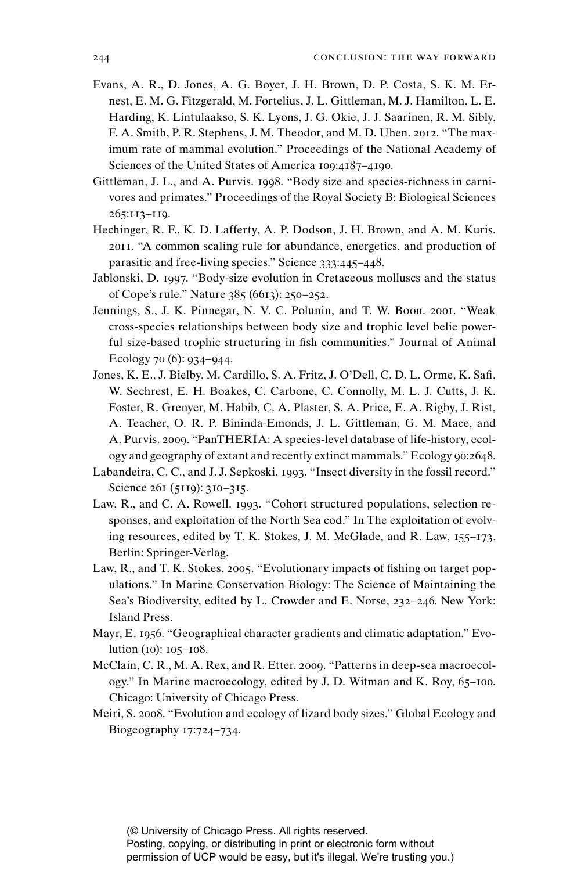- Evans, A. R., D. Jones, A. G. Boyer, J. H. Brown, D. P. Costa, S. K. M. Ernest, E. M. G. Fitzgerald, M. Fortelius, J. L. Gittleman, M. J. Hamilton, L. E. Harding, K. Lintulaakso, S. K. Lyons, J. G. Okie, J. J. Saarinen, R. M. Sibly, F. A. Smith, P. R. Stephens, J. M. Theodor, and M. D. Uhen. 2012. "The maximum rate of mammal evolution." Proceedings of the National Academy of Sciences of the United States of America 109:4187–4190.
- Gittleman, J. L., and A. Purvis. 1998. "Body size and species-richness in carnivores and primates." Proceedings of the Royal Society B: Biological Sciences 265:113–119.
- Hechinger, R. F., K. D. Lafferty, A. P. Dodson, J. H. Brown, and A. M. Kuris. 2011. "A common scaling rule for abundance, energetics, and production of parasitic and free-living species." Science 333:445–448.
- Jablonski, D. 1997. "Body-size evolution in Cretaceous molluscs and the status of Cope's rule." Nature 385 (6613): 250–252.
- Jennings, S., J. K. Pinnegar, N. V. C. Polunin, and T. W. Boon. 2001. "Weak cross-species relationships between body size and trophic level belie powerful size-based trophic structuring in fish communities." Journal of Animal Ecology 70 (6): 934–944.
- Jones, K. E., J. Bielby, M. Cardillo, S. A. Fritz, J. O'Dell, C. D. L. Orme, K. Safi, W. Sechrest, E. H. Boakes, C. Carbone, C. Connolly, M. L. J. Cutts, J. K. Foster, R. Grenyer, M. Habib, C. A. Plaster, S. A. Price, E. A. Rigby, J. Rist, A. Teacher, O. R. P. Bininda-Emonds, J. L. Gittleman, G. M. Mace, and A. Purvis. 2009. "PanTHERIA: A species-level database of life-history, ecology and geography of extant and recently extinct mammals." Ecology 90:2648.
- Labandeira, C. C., and J. J. Sepkoski. 1993. "Insect diversity in the fossil record." Science 261 (5119): 310-315.
- Law, R., and C. A. Rowell. 1993. "Cohort structured populations, selection responses, and exploitation of the North Sea cod." In The exploitation of evolving resources, edited by T. K. Stokes, J. M. McGlade, and R. Law, 155–173. Berlin: Springer-Verlag.
- Law, R., and T. K. Stokes. 2005. "Evolutionary impacts of fishing on target populations." In Marine Conservation Biology: The Science of Maintaining the Sea's Biodiversity, edited by L. Crowder and E. Norse, 232–246. New York: Island Press.
- Mayr, E. 1956. "Geographical character gradients and climatic adaptation." Evolution (10): 105–108.
- McClain, C. R., M. A. Rex, and R. Etter. 2009. "Patterns in deep-sea macroecology." In Marine macroecology, edited by J. D. Witman and K. Roy, 65–100. Chicago: University of Chicago Press.
- Meiri, S. 2008. "Evolution and ecology of lizard body sizes." Global Ecology and Biogeography 17:724–734.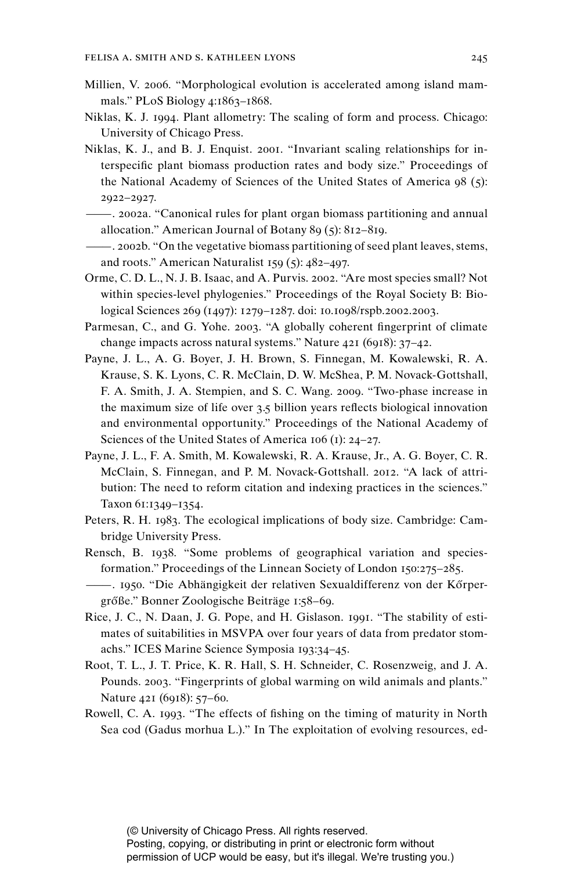- Millien, V. 2006. "Morphological evolution is accelerated among island mammals." PLoS Biology 4:1863–1868.
- Niklas, K. J. 1994. Plant allometry: The scaling of form and process. Chicago: University of Chicago Press.
- Niklas, K. J., and B. J. Enquist. 2001. "Invariant scaling relationships for interspecific plant biomass production rates and body size." Proceedings of the National Academy of Sciences of the United States of America 98 (5): 2922–2927.
- ———. 2002a. "Canonical rules for plant organ biomass partitioning and annual allocation." American Journal of Botany 89 (5): 812–819.
- ———. 2002b. "On the vegetative biomass partitioning of seed plant leaves, stems, and roots." American Naturalist 159 (5): 482–497.
- Orme, C. D. L., N. J. B. Isaac, and A. Purvis. 2002. "Are most species small? Not within species-level phylogenies." Proceedings of the Royal Society B: Biological Sciences 269 (1497): 1279–1287. doi: 10.1098/rspb.2002.2003.
- Parmesan, C., and G. Yohe. 2003. "A globally coherent fingerprint of climate change impacts across natural systems." Nature 421 (6918): 37–42.
- Payne, J. L., A. G. Boyer, J. H. Brown, S. Finnegan, M. Kowalewski, R. A. Krause, S. K. Lyons, C. R. McClain, D. W. McShea, P. M. Novack-Gottshall, F. A. Smith, J. A. Stempien, and S. C. Wang. 2009. "Two-phase increase in the maximum size of life over  $3.5$  billion years reflects biological innovation and environmental opportunity." Proceedings of the National Academy of Sciences of the United States of America 106 (1): 24–27.
- Payne, J. L., F. A. Smith, M. Kowalewski, R. A. Krause, Jr., A. G. Boyer, C. R. McClain, S. Finnegan, and P. M. Novack-Gottshall. 2012. "A lack of attribution: The need to reform citation and indexing practices in the sciences." Taxon 61:1349–1354.
- Peters, R. H. 1983. The ecological implications of body size. Cambridge: Cambridge University Press.
- Rensch, B. 1938. "Some problems of geographical variation and species formation." Proceedings of the Linnean Society of London 150:275–285.
- ——. 1950. "Die Abhängigkeit der relativen Sexualdifferenz von der Kőrpergrőße." Bonner Zoologische Beiträge 1:58-69.
- Rice, J. C., N. Daan, J. G. Pope, and H. Gislason. 1991. "The stability of estimates of suitabilities in MSVPA over four years of data from predator stomachs." ICES Marine Science Symposia 193:34–45.
- Root, T. L., J. T. Price, K. R. Hall, S. H. Schneider, C. Rosenzweig, and J. A. Pounds. 2003. "Fingerprints of global warming on wild animals and plants." Nature 421 (6918): 57–60.
- Rowell, C. A. 1993. "The effects of fishing on the timing of maturity in North Sea cod (Gadus morhua L.)." In The exploitation of evolving resources, ed-

Posting, copying, or distributing in print or electronic form without permission of UCP would be easy, but it's illegal. We're trusting you.)